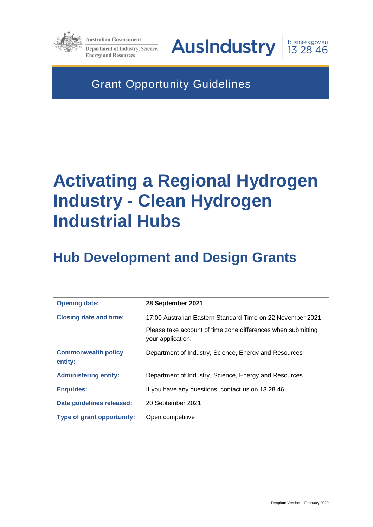

**Australian Government Department of Industry, Science, Energy and Resources** 

**AusIndustry** 

business.gov.au 13 28 46

Grant Opportunity Guidelines

# **Activating a Regional Hydrogen Industry - Clean Hydrogen Industrial Hubs**

# **Hub Development and Design Grants**

| <b>Opening date:</b>                  | 28 September 2021                                                                 |
|---------------------------------------|-----------------------------------------------------------------------------------|
| <b>Closing date and time:</b>         | 17:00 Australian Eastern Standard Time on 22 November 2021                        |
|                                       | Please take account of time zone differences when submitting<br>your application. |
| <b>Commonwealth policy</b><br>entity: | Department of Industry, Science, Energy and Resources                             |
| <b>Administering entity:</b>          | Department of Industry, Science, Energy and Resources                             |
| <b>Enquiries:</b>                     | If you have any questions, contact us on 13 28 46.                                |
| Date guidelines released:             | 20 September 2021                                                                 |
| Type of grant opportunity:            | Open competitive                                                                  |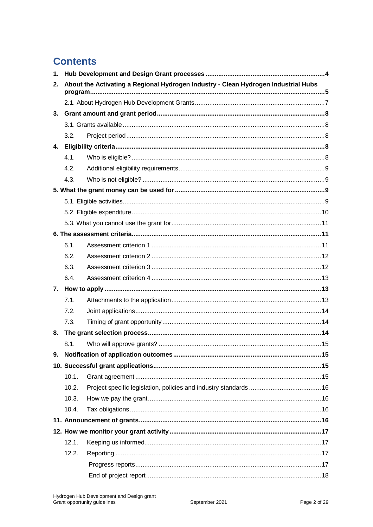### **Contents**

| 1 <sub>1</sub> |                                                                                    |  |  |  |  |
|----------------|------------------------------------------------------------------------------------|--|--|--|--|
| 2.             | About the Activating a Regional Hydrogen Industry - Clean Hydrogen Industrial Hubs |  |  |  |  |
|                |                                                                                    |  |  |  |  |
| 3.             |                                                                                    |  |  |  |  |
|                |                                                                                    |  |  |  |  |
|                | 3.2.                                                                               |  |  |  |  |
| 4.             |                                                                                    |  |  |  |  |
|                | 4.1.                                                                               |  |  |  |  |
|                | 4.2.                                                                               |  |  |  |  |
|                | 4.3.                                                                               |  |  |  |  |
|                |                                                                                    |  |  |  |  |
|                |                                                                                    |  |  |  |  |
|                |                                                                                    |  |  |  |  |
|                |                                                                                    |  |  |  |  |
|                |                                                                                    |  |  |  |  |
|                | 6.1.                                                                               |  |  |  |  |
|                | 6.2.                                                                               |  |  |  |  |
|                | 6.3.                                                                               |  |  |  |  |
|                | 6.4.                                                                               |  |  |  |  |
|                |                                                                                    |  |  |  |  |
|                | 7.1.                                                                               |  |  |  |  |
|                | 7.2.                                                                               |  |  |  |  |
|                | 7.3.                                                                               |  |  |  |  |
| 8.             |                                                                                    |  |  |  |  |
|                | 8.1.                                                                               |  |  |  |  |
|                |                                                                                    |  |  |  |  |
|                |                                                                                    |  |  |  |  |
|                | 10.1.                                                                              |  |  |  |  |
|                | 10.2.                                                                              |  |  |  |  |
|                | 10.3.                                                                              |  |  |  |  |
|                | 10.4.                                                                              |  |  |  |  |
|                |                                                                                    |  |  |  |  |
|                |                                                                                    |  |  |  |  |
|                | 12.1.                                                                              |  |  |  |  |
|                | 12.2.                                                                              |  |  |  |  |
|                |                                                                                    |  |  |  |  |
|                |                                                                                    |  |  |  |  |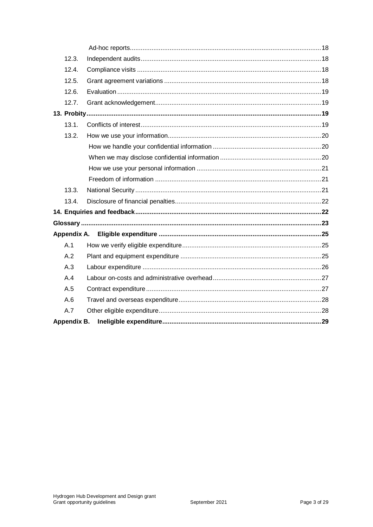| 12.3.              |  |
|--------------------|--|
| 12.4.              |  |
| 12.5.              |  |
| 12.6.              |  |
| 12.7.              |  |
|                    |  |
| 13.1.              |  |
| 13.2.              |  |
|                    |  |
|                    |  |
|                    |  |
|                    |  |
| 13.3.              |  |
| 13.4.              |  |
|                    |  |
|                    |  |
|                    |  |
| A.1                |  |
| A.2                |  |
| A.3                |  |
| A.4                |  |
| A.5                |  |
| A.6                |  |
| A.7                |  |
| <b>Appendix B.</b> |  |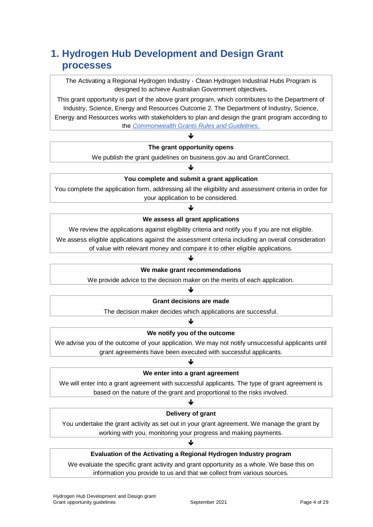### **1. Hydrogen Hub Development and Design Grant processes**

The Activating a Regional Hydrogen Industry - Clean Hydrogen Industrial Hubs Program is designed to achieve Australian Government objectives**.**

This grant opportunity is part of the above grant program, which contributes to the Department of Industry, Science, Energy and Resources Outcome 2. The Department of Industry, Science, Energy and Resources works with stakeholders to plan and design the grant program according to the *[Commonwealth Grants Rules and Guidelines](https://www.finance.gov.au/government/commonwealth-grants/commonwealth-grants-rules-guidelines)*.

### ♦ **The grant opportunity opens**

We publish the grant guidelines on business.gov.au and GrantConnect. J

### **You complete and submit a grant application**

You complete the application form, addressing all the eligibility and assessment criteria in order for your application to be considered.

### J **We assess all grant applications**

We review the applications against eligibility criteria and notify you if you are not eligible. We assess eligible applications against the assessment criteria including an overall consideration

of value with relevant money and compare it to other eligible applications.

#### J

#### **We make grant recommendations**

We provide advice to the decision maker on the merits of each application.

#### ♦

#### **Grant decisions are made**

The decision maker decides which applications are successful. J

### **We notify you of the outcome**

We advise you of the outcome of your application. We may not notify unsuccessful applicants until grant agreements have been executed with successful applicants.

### J **We enter into a grant agreement**

We will enter into a grant agreement with successful applicants. The type of grant agreement is based on the nature of the grant and proportional to the risks involved.

#### J

#### **Delivery of grant**

You undertake the grant activity as set out in your grant agreement. We manage the grant by working with you, monitoring your progress and making payments.

### ♦

### **Evaluation of the Activating a Regional Hydrogen Industry program**

We evaluate the specific grant activity and grant opportunity as a whole. We base this on information you provide to us and that we collect from various sources.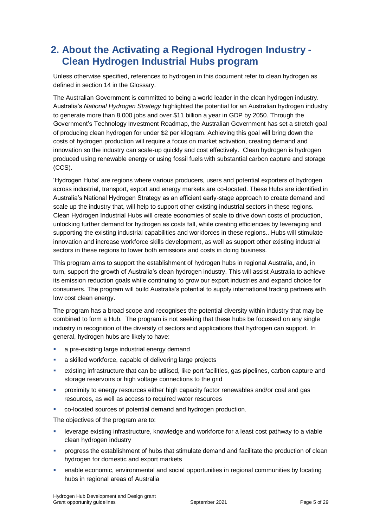### **2. About the Activating a Regional Hydrogen Industry - Clean Hydrogen Industrial Hubs program**

Unless otherwise specified, references to hydrogen in this document refer to clean hydrogen as defined in section 14 in the Glossary.

The Australian Government is committed to being a world leader in the clean hydrogen industry. Australia's *National Hydrogen Strategy* highlighted the potential for an Australian hydrogen industry to generate more than 8,000 jobs and over \$11 billion a year in GDP by 2050. Through the Government's Technology Investment Roadmap, the Australian Government has set a stretch goal of producing clean hydrogen for under \$2 per kilogram. Achieving this goal will bring down the costs of hydrogen production will require a focus on market activation, creating demand and innovation so the industry can scale-up quickly and cost effectively. Clean hydrogen is hydrogen produced using renewable energy or using fossil fuels with substantial carbon capture and storage (CCS).

'Hydrogen Hubs' are regions where various producers, users and potential exporters of hydrogen across industrial, transport, export and energy markets are co-located. These Hubs are identified in Australia's National Hydrogen Strategy as an efficient early-stage approach to create demand and scale up the industry that, will help to support other existing industrial sectors in these regions. Clean Hydrogen Industrial Hubs will create economies of scale to drive down costs of production, unlocking further demand for hydrogen as costs fall, while creating efficiencies by leveraging and supporting the existing industrial capabilities and workforces in these regions.. Hubs will stimulate innovation and increase workforce skills development, as well as support other existing industrial sectors in these regions to lower both emissions and costs in doing business.

This program aims to support the establishment of hydrogen hubs in regional Australia, and, in turn, support the growth of Australia's clean hydrogen industry. This will assist Australia to achieve its emission reduction goals while continuing to grow our export industries and expand choice for consumers. The program will build Australia's potential to supply international trading partners with low cost clean energy.

The program has a broad scope and recognises the potential diversity within industry that may be combined to form a Hub. The program is not seeking that these hubs be focussed on any single industry in recognition of the diversity of sectors and applications that hydrogen can support. In general, hydrogen hubs are likely to have:

- **a** a pre-existing large industrial energy demand
- a skilled workforce, capable of delivering large projects
- existing infrastructure that can be utilised, like port facilities, gas pipelines, carbon capture and storage reservoirs or high voltage connections to the grid
- proximity to energy resources either high capacity factor renewables and/or coal and gas resources, as well as access to required water resources
- co-located sources of potential demand and hydrogen production.

The objectives of the program are to:

- leverage existing infrastructure, knowledge and workforce for a least cost pathway to a viable clean hydrogen industry
- progress the establishment of hubs that stimulate demand and facilitate the production of clean hydrogen for domestic and export markets
- enable economic, environmental and social opportunities in regional communities by locating hubs in regional areas of Australia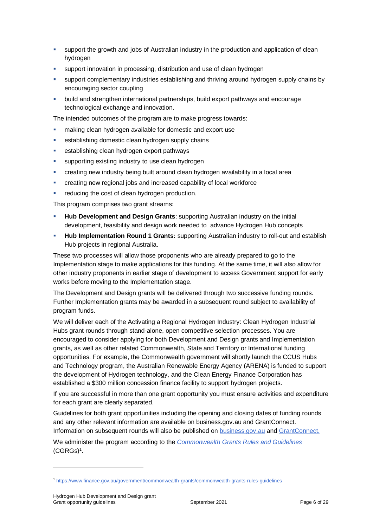- support the growth and jobs of Australian industry in the production and application of clean hydrogen
- support innovation in processing, distribution and use of clean hydrogen
- support complementary industries establishing and thriving around hydrogen supply chains by encouraging sector coupling
- build and strengthen international partnerships, build export pathways and encourage technological exchange and innovation.

The intended outcomes of the program are to make progress towards:

- making clean hydrogen available for domestic and export use
- establishing domestic clean hydrogen supply chains
- establishing clean hydrogen export pathways
- supporting existing industry to use clean hydrogen
- creating new industry being built around clean hydrogen availability in a local area
- creating new regional jobs and increased capability of local workforce
- reducing the cost of clean hydrogen production.

This program comprises two grant streams:

- **Hub Development and Design Grants**: supporting Australian industry on the initial development, feasibility and design work needed to advance Hydrogen Hub concepts
- **Hub Implementation Round 1 Grants:** supporting Australian industry to roll-out and establish Hub projects in regional Australia.

These two processes will allow those proponents who are already prepared to go to the Implementation stage to make applications for this funding. At the same time, it will also allow for other industry proponents in earlier stage of development to access Government support for early works before moving to the Implementation stage.

The Development and Design grants will be delivered through two successive funding rounds. Further Implementation grants may be awarded in a subsequent round subject to availability of program funds.

We will deliver each of the Activating a Regional Hydrogen Industry: Clean Hydrogen Industrial Hubs grant rounds through stand-alone, open competitive selection processes. You are encouraged to consider applying for both Development and Design grants and Implementation grants, as well as other related Commonwealth, State and Territory or International funding opportunities. For example, the Commonwealth government will shortly launch the CCUS Hubs and Technology program, the Australian Renewable Energy Agency (ARENA) is funded to support the development of Hydrogen technology, and the Clean Energy Finance Corporation has established a \$300 million concession finance facility to support hydrogen projects.

If you are successful in more than one grant opportunity you must ensure activities and expenditure for each grant are clearly separated.

Guidelines for both grant opportunities including the opening and closing dates of funding rounds and any other relevant information are available on business.gov.au and GrantConnect. Information on subsequent rounds will also be published on [business.gov.au](https://business.gov.au/) and [GrantConnect.](http://www.grants.gov.au/)

We administer the program according to the *[Commonwealth Grants Rules and Guidelines](https://www.finance.gov.au/government/commonwealth-grants/commonwealth-grants-rules-guidelines)*  $(CGRGs)^1$  $(CGRGs)^1$ .

l

<sup>1</sup> <https://www.finance.gov.au/government/commonwealth-grants/commonwealth-grants-rules-guidelines>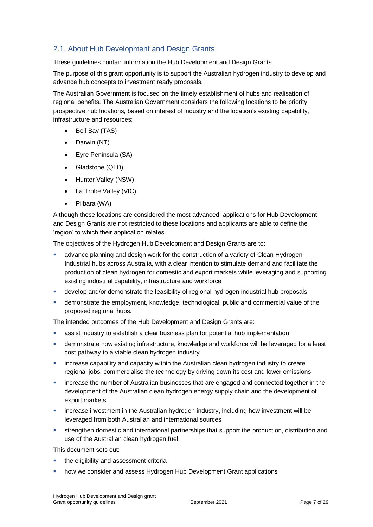### 2.1. About Hub Development and Design Grants

These guidelines contain information the Hub Development and Design Grants.

The purpose of this grant opportunity is to support the Australian hydrogen industry to develop and advance hub concepts to investment ready proposals.

The Australian Government is focused on the timely establishment of hubs and realisation of regional benefits. The Australian Government considers the following locations to be priority prospective hub locations, based on interest of industry and the location's existing capability, infrastructure and resources:

- Bell Bay (TAS)
- Darwin (NT)
- Eyre Peninsula (SA)
- Gladstone (QLD)
- Hunter Valley (NSW)
- La Trobe Valley (VIC)
- Pilbara (WA)

Although these locations are considered the most advanced, applications for Hub Development and Design Grants are not restricted to these locations and applicants are able to define the 'region' to which their application relates.

The objectives of the Hydrogen Hub Development and Design Grants are to:

- advance planning and design work for the construction of a variety of Clean Hydrogen Industrial hubs across Australia, with a clear intention to stimulate demand and facilitate the production of clean hydrogen for domestic and export markets while leveraging and supporting existing industrial capability, infrastructure and workforce
- develop and/or demonstrate the feasibility of regional hydrogen industrial hub proposals
- demonstrate the employment, knowledge, technological, public and commercial value of the proposed regional hubs.

The intended outcomes of the Hub Development and Design Grants are:

- assist industry to establish a clear business plan for potential hub implementation
- demonstrate how existing infrastructure, knowledge and workforce will be leveraged for a least cost pathway to a viable clean hydrogen industry
- increase capability and capacity within the Australian clean hydrogen industry to create regional jobs, commercialise the technology by driving down its cost and lower emissions
- increase the number of Australian businesses that are engaged and connected together in the development of the Australian clean hydrogen energy supply chain and the development of export markets
- increase investment in the Australian hydrogen industry, including how investment will be leveraged from both Australian and international sources
- strengthen domestic and international partnerships that support the production, distribution and use of the Australian clean hydrogen fuel.

This document sets out:

- the eligibility and assessment criteria
- how we consider and assess Hydrogen Hub Development Grant applications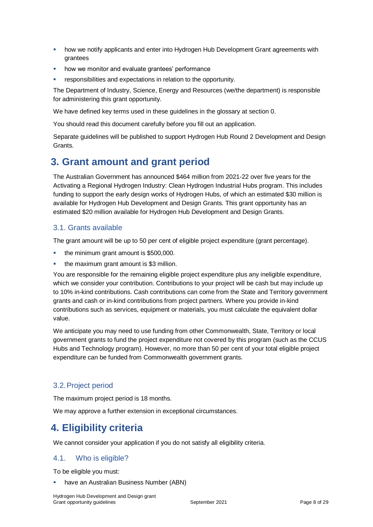- how we notify applicants and enter into Hydrogen Hub Development Grant agreements with grantees
- how we monitor and evaluate grantees' performance
- responsibilities and expectations in relation to the opportunity.

The Department of Industry, Science, Energy and Resources (we/the department) is responsible for administering this grant opportunity.

We have defined key terms used in these guidelines in the glossary at section [0.](#page-22-0)

You should read this document carefully before you fill out an application.

Separate guidelines will be published to support Hydrogen Hub Round 2 Development and Design Grants.

### **3. Grant amount and grant period**

The Australian Government has announced \$464 million from 2021-22 over five years for the Activating a Regional Hydrogen Industry: Clean Hydrogen Industrial Hubs program. This includes funding to support the early design works of Hydrogen Hubs, of which an estimated \$30 million is available for Hydrogen Hub Development and Design Grants. This grant opportunity has an estimated \$20 million available for Hydrogen Hub Development and Design Grants.

### 3.1. Grants available

The grant amount will be up to 50 per cent of eligible project expenditure (grant percentage).

- the minimum grant amount is \$500,000.
- the maximum grant amount is \$3 million.

You are responsible for the remaining eligible project expenditure plus any ineligible expenditure, which we consider your contribution. Contributions to your project will be cash but may include up to 10% in-kind contributions. Cash contributions can come from the State and Territory government grants and cash or in-kind contributions from project partners. Where you provide in-kind contributions such as services, equipment or materials, you must calculate the equivalent dollar value.

We anticipate you may need to use funding from other Commonwealth, State, Territory or local government grants to fund the project expenditure not covered by this program (such as the CCUS Hubs and Technology program). However, no more than 50 per cent of your total eligible project expenditure can be funded from Commonwealth government grants.

### 3.2.Project period

The maximum project period is 18 months.

We may approve a further extension in exceptional circumstances.

### **4. Eligibility criteria**

We cannot consider your application if you do not satisfy all eligibility criteria.

### <span id="page-7-0"></span>4.1. Who is eligible?

To be eligible you must:

have an Australian Business Number (ABN)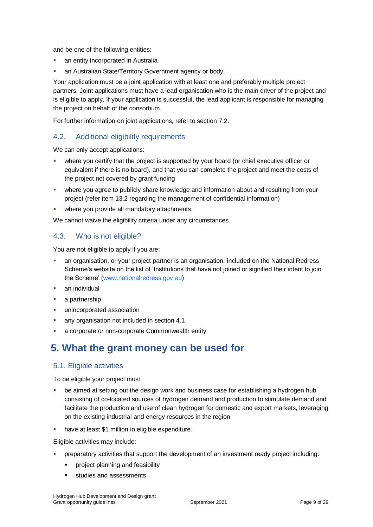and be one of the following entities:

- an entity incorporated in Australia
- an Australian State/Territory Government agency or body.

Your application must be a joint application with at least one and preferably multiple project partners. Joint applications must have a lead organisation who is the main driver of the project and is eligible to apply. If your application is successful, the lead applicant is responsible for managing the project on behalf of the consortium.

For further information on joint applications, refer to section 7.2.

### 4.2. Additional eligibility requirements

We can only accept applications:

- where you certify that the project is supported by your board (or chief executive officer or equivalent if there is no board), and that you can complete the project and meet the costs of the project not covered by grant funding
- where you agree to publicly share knowledge and information about and resulting from your project (refer item 13.2 regarding the management of confidential information)
- where you provide all mandatory attachments.

We cannot waive the eligibility criteria under any circumstances.

### 4.3. Who is not eligible?

You are not eligible to apply if you are:

- an organisation, or your project partner is an organisation, included on the National Redress Scheme's website on the list of 'Institutions that have not joined or signified their intent to join the Scheme' [\(www.nationalredress.gov.au\)](http://www.nationalredress.gov.au/)
- an individual
- a partnership
- **unincorporated association**
- any organisation not included in section [4.1](#page-7-0)
- a corporate or non-corporate Commonwealth entity

### **5. What the grant money can be used for**

### <span id="page-8-0"></span>5.1. Eligible activities

To be eligible your project must:

- be aimed at setting out the design work and business case for establishing a hydrogen hub consisting of co-located sources of hydrogen demand and production to stimulate demand and facilitate the production and use of clean hydrogen for domestic and export markets, leveraging on the existing industrial and energy resources in the region
- **have at least \$1 million in eligible expenditure.**

Eligible activities may include:

- preparatory activities that support the development of an investment ready project including:
	- **•** project planning and feasibility
	- **studies and assessments**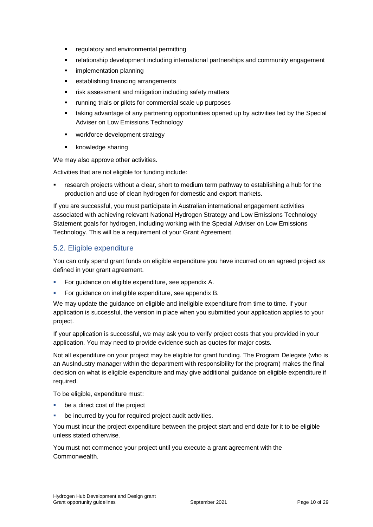- **•** regulatory and environmental permitting
- relationship development including international partnerships and community engagement
- implementation planning
- **EXECUTE:** establishing financing arrangements
- **F** risk assessment and mitigation including safety matters
- **•** running trials or pilots for commercial scale up purposes
- taking advantage of any partnering opportunities opened up by activities led by the Special Adviser on Low Emissions Technology
- **•** workforce development strategy
- **Knowledge sharing**

We may also approve other activities.

Activities that are not eligible for funding include:

 research projects without a clear, short to medium term pathway to establishing a hub for the production and use of clean hydrogen for domestic and export markets.

If you are successful, you must participate in Australian international engagement activities associated with achieving relevant National Hydrogen Strategy and Low Emissions Technology Statement goals for hydrogen, including working with the Special Adviser on Low Emissions Technology. This will be a requirement of your Grant Agreement.

### <span id="page-9-0"></span>5.2. Eligible expenditure

You can only spend grant funds on eligible expenditure you have incurred on an agreed project as defined in your grant agreement.

- **For guidance on eligible expenditure, see appendix A.**
- For guidance on ineligible expenditure, see appendix B.

We may update the guidance on eligible and ineligible expenditure from time to time. If your application is successful, the version in place when you submitted your application applies to your project.

If your application is successful, we may ask you to verify project costs that you provided in your application. You may need to provide evidence such as quotes for major costs.

Not all expenditure on your project may be eligible for grant funding. The Program Delegate (who is an AusIndustry manager within the department with responsibility for the program) makes the final decision on what is eligible expenditure and may give additional guidance on eligible expenditure if required.

To be eligible, expenditure must:

- be a direct cost of the project
- be incurred by you for required project audit activities.

You must incur the project expenditure between the project start and end date for it to be eligible unless stated otherwise.

You must not commence your project until you execute a grant agreement with the Commonwealth.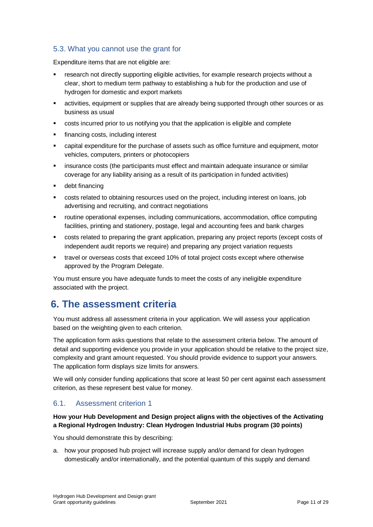### 5.3. What you cannot use the grant for

Expenditure items that are not eligible are:

- research not directly supporting eligible activities, for example research projects without a clear, short to medium term pathway to establishing a hub for the production and use of hydrogen for domestic and export markets
- activities, equipment or supplies that are already being supported through other sources or as business as usual
- costs incurred prior to us notifying you that the application is eligible and complete
- financing costs, including interest
- capital expenditure for the purchase of assets such as office furniture and equipment, motor vehicles, computers, printers or photocopiers
- insurance costs (the participants must effect and maintain adequate insurance or similar coverage for any liability arising as a result of its participation in funded activities)
- debt financing
- costs related to obtaining resources used on the project, including interest on loans, job advertising and recruiting, and contract negotiations
- routine operational expenses, including communications, accommodation, office computing facilities, printing and stationery, postage, legal and accounting fees and bank charges
- costs related to preparing the grant application, preparing any project reports (except costs of independent audit reports we require) and preparing any project variation requests
- travel or overseas costs that exceed 10% of total project costs except where otherwise approved by the Program Delegate.

You must ensure you have adequate funds to meet the costs of any ineligible expenditure associated with the project.

### **6. The assessment criteria**

You must address all assessment criteria in your application. We will assess your application based on the weighting given to each criterion.

The application form asks questions that relate to the assessment criteria below. The amount of detail and supporting evidence you provide in your application should be relative to the project size, complexity and grant amount requested. You should provide evidence to support your answers. The application form displays size limits for answers.

We will only consider funding applications that score at least 50 per cent against each assessment criterion, as these represent best value for money.

### 6.1. Assessment criterion 1

### **How your Hub Development and Design project aligns with the objectives of the Activating a Regional Hydrogen Industry: Clean Hydrogen Industrial Hubs program (30 points)**

You should demonstrate this by describing:

a. how your proposed hub project will increase supply and/or demand for clean hydrogen domestically and/or internationally, and the potential quantum of this supply and demand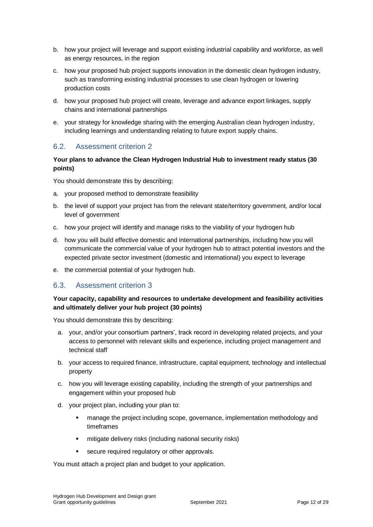- b. how your project will leverage and support existing industrial capability and workforce, as well as energy resources, in the region
- c. how your proposed hub project supports innovation in the domestic clean hydrogen industry, such as transforming existing industrial processes to use clean hydrogen or lowering production costs
- d. how your proposed hub project will create, leverage and advance export linkages, supply chains and international partnerships
- e. your strategy for knowledge sharing with the emerging Australian clean hydrogen industry, including learnings and understanding relating to future export supply chains.

### 6.2. Assessment criterion 2

#### **Your plans to advance the Clean Hydrogen Industrial Hub to investment ready status (30 points)**

You should demonstrate this by describing:

- a. your proposed method to demonstrate feasibility
- b. the level of support your project has from the relevant state/territory government, and/or local level of government
- c. how your project will identify and manage risks to the viability of your hydrogen hub
- d. how you will build effective domestic and international partnerships, including how you will communicate the commercial value of your hydrogen hub to attract potential investors and the expected private sector investment (domestic and international) you expect to leverage
- e. the commercial potential of your hydrogen hub.

### 6.3. Assessment criterion 3

#### **Your capacity, capability and resources to undertake development and feasibility activities and ultimately deliver your hub project (30 points)**

You should demonstrate this by describing:

- a. your, and/or your consortium partners', track record in developing related projects, and your access to personnel with relevant skills and experience, including project management and technical staff
- b. your access to required finance, infrastructure, capital equipment, technology and intellectual property
- c. how you will leverage existing capability, including the strength of your partnerships and engagement within your proposed hub
- d. your project plan, including your plan to:
	- manage the project including scope, governance, implementation methodology and timeframes
	- mitigate delivery risks (including national security risks)
	- **secure required requiatory or other approvals.**

You must attach a project plan and budget to your application.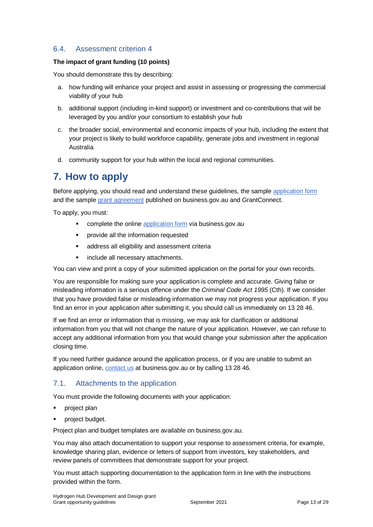### 6.4. Assessment criterion 4

#### **The impact of grant funding (10 points)**

You should demonstrate this by describing:

- a. how funding will enhance your project and assist in assessing or progressing the commercial viability of your hub
- b. additional support (including in-kind support) or investment and co-contributions that will be leveraged by you and/or your consortium to establish your hub
- c. the broader social, environmental and economic impacts of your hub, including the extent that your project is likely to build workforce capability, generate jobs and investment in regional Australia
- d. community support for your hub within the local and regional communities.

### **7. How to apply**

Before applying, you should read and understand these guidelines, the sample [application form](https://business.gov.au/grants-and-programs/hydrogen-hubs-development-grants#key-documents) and the sample [grant agreement](https://business.gov.au/grants-and-programs/hydrogen-hubs-development-grants#key-documents) published on business.gov.au and GrantConnect.

To apply, you must:

- complete the online [application form](https://business.gov.au/grants-and-programs/hydrogen-hubs-development-grants#applying) via business.gov.au
- **•** provide all the information requested
- **address all eligibility and assessment criterially**
- **EXEC** include all necessary attachments.

You can view and print a copy of your submitted application on the portal for your own records.

You are responsible for making sure your application is complete and accurate. Giving false or misleading information is a serious offence under the *Criminal Code Act 1995* (Cth). If we consider that you have provided false or misleading information we may not progress your application. If you find an error in your application after submitting it, you should call us immediately on 13 28 46.

If we find an error or information that is missing, we may ask for clarification or additional information from you that will not change the nature of your application. However, we can refuse to accept any additional information from you that would change your submission after the application closing time.

If you need further guidance around the application process, or if you are unable to submit an application online, [contact us](https://www.business.gov.au/contact-us) at business.gov.au or by calling 13 28 46.

### 7.1. Attachments to the application

You must provide the following documents with your application:

- project plan
- project budget.

Project plan and budget templates are available on business.gov.au.

You may also attach documentation to support your response to assessment criteria, for example, knowledge sharing plan, evidence or letters of support from investors, key stakeholders, and review panels of committees that demonstrate support for your project.

You must attach supporting documentation to the application form in line with the instructions provided within the form.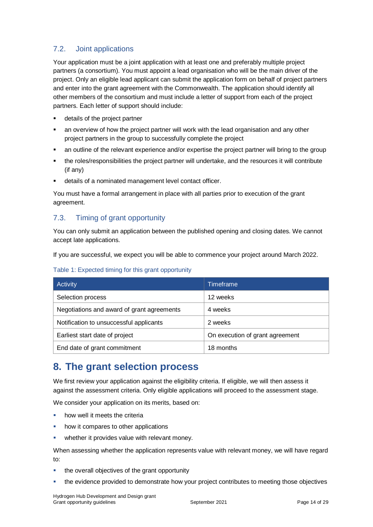### 7.2. Joint applications

Your application must be a joint application with at least one and preferably multiple project partners (a consortium). You must appoint a lead organisation who will be the main driver of the project. Only an eligible lead applicant can submit the application form on behalf of project partners and enter into the grant agreement with the Commonwealth. The application should identify all other members of the consortium and must include a letter of support from each of the project partners. Each letter of support should include:

- details of the project partner
- an overview of how the project partner will work with the lead organisation and any other project partners in the group to successfully complete the project
- an outline of the relevant experience and/or expertise the project partner will bring to the group
- the roles/responsibilities the project partner will undertake, and the resources it will contribute (if any)
- details of a nominated management level contact officer.

You must have a formal arrangement in place with all parties prior to execution of the grant agreement.

### 7.3. Timing of grant opportunity

You can only submit an application between the published opening and closing dates. We cannot accept late applications.

If you are successful, we expect you will be able to commence your project around March 2022.

|  |  | Table 1: Expected timing for this grant opportunity |
|--|--|-----------------------------------------------------|
|  |  |                                                     |

| Activity                                   | <b>Timeframe</b>                |
|--------------------------------------------|---------------------------------|
| Selection process                          | 12 weeks                        |
| Negotiations and award of grant agreements | 4 weeks                         |
| Notification to unsuccessful applicants    | 2 weeks                         |
| Earliest start date of project             | On execution of grant agreement |
| End date of grant commitment               | 18 months                       |

### **8. The grant selection process**

We first review your application against the eligibility criteria. If eligible, we will then assess it against the assessment criteria. Only eligible applications will proceed to the assessment stage.

We consider your application on its merits, based on:

- how well it meets the criteria
- how it compares to other applications
- **•** whether it provides value with relevant money.

When assessing whether the application represents value with relevant money, we will have regard to:

- **the overall objectives of the grant opportunity**
- the evidence provided to demonstrate how your project contributes to meeting those objectives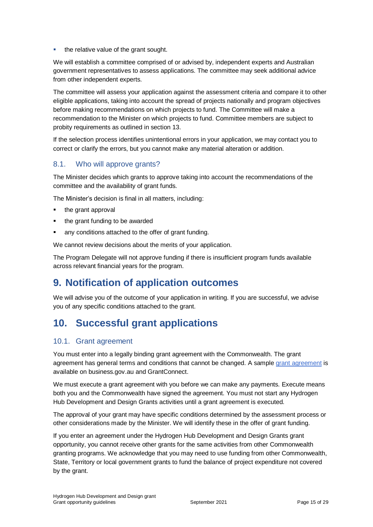the relative value of the grant sought.

We will establish a committee comprised of or advised by, independent experts and Australian government representatives to assess applications. The committee may seek additional advice from other independent experts.

The committee will assess your application against the assessment criteria and compare it to other eligible applications, taking into account the spread of projects nationally and program objectives before making recommendations on which projects to fund. The Committee will make a recommendation to the Minister on which projects to fund. Committee members are subject to probity requirements as outlined in section 13.

If the selection process identifies unintentional errors in your application, we may contact you to correct or clarify the errors, but you cannot make any material alteration or addition.

### 8.1. Who will approve grants?

The Minister decides which grants to approve taking into account the recommendations of the committee and the availability of grant funds.

The Minister's decision is final in all matters, including:

- $\blacksquare$  the grant approval
- the grant funding to be awarded
- any conditions attached to the offer of grant funding.

We cannot review decisions about the merits of your application.

The Program Delegate will not approve funding if there is insufficient program funds available across relevant financial years for the program.

### **9. Notification of application outcomes**

We will advise you of the outcome of your application in writing. If you are successful, we advise you of any specific conditions attached to the grant.

### **10. Successful grant applications**

### 10.1. Grant agreement

You must enter into a legally binding grant agreement with the Commonwealth. The grant agreement has general terms and conditions that cannot be changed. A sample [grant agreement](https://business.gov.au/grants-and-programs/hydrogen-hubs-development-grants#key-documents) is available on business.gov.au and GrantConnect.

We must execute a grant agreement with you before we can make any payments. Execute means both you and the Commonwealth have signed the agreement. You must not start any Hydrogen Hub Development and Design Grants activities until a grant agreement is executed.

The approval of your grant may have specific conditions determined by the assessment process or other considerations made by the Minister. We will identify these in the offer of grant funding.

If you enter an agreement under the Hydrogen Hub Development and Design Grants grant opportunity, you cannot receive other grants for the same activities from other Commonwealth granting programs. We acknowledge that you may need to use funding from other Commonwealth, State, Territory or local government grants to fund the balance of project expenditure not covered by the grant.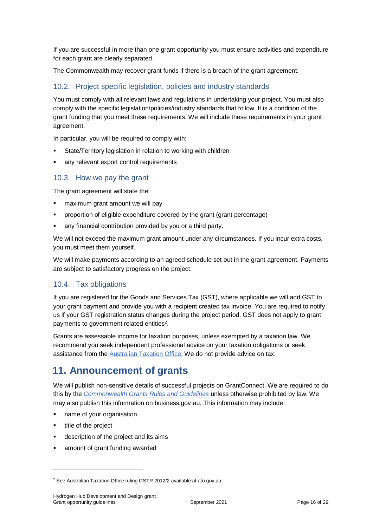If you are successful in more than one grant opportunity you must ensure activities and expenditure for each grant are clearly separated.

The Commonwealth may recover grant funds if there is a breach of the grant agreement.

### 10.2. Project specific legislation, policies and industry standards

You must comply with all relevant laws and regulations in undertaking your project. You must also comply with the specific legislation/policies/industry standards that follow. It is a condition of the grant funding that you meet these requirements. We will include these requirements in your grant agreement.

In particular, you will be required to comply with:

- State/Territory legislation in relation to working with children
- any relevant export control requirements

### 10.3. How we pay the grant

The grant agreement will state the:

- maximum grant amount we will pay
- proportion of eligible expenditure covered by the grant (grant percentage)
- any financial contribution provided by you or a third party.

We will not exceed the maximum grant amount under any circumstances. If you incur extra costs, you must meet them yourself.

We will make payments according to an agreed schedule set out in the grant agreement. Payments are subject to satisfactory progress on the project.

### 10.4. Tax obligations

If you are registered for the Goods and Services Tax (GST), where applicable we will add GST to your grant payment and provide you with a recipient created tax invoice. You are required to notify us if your GST registration status changes during the project period. GST does not apply to grant payments to government related entities $2$ .

Grants are assessable income for taxation purposes, unless exempted by a taxation law. We recommend you seek independent professional advice on your taxation obligations or seek assistance from the [Australian Taxation Office.](https://www.ato.gov.au/) We do not provide advice on tax.

### **11. Announcement of grants**

We will publish non-sensitive details of successful projects on GrantConnect. We are required to do this by the *[Commonwealth Grants Rules and Guidelines](https://www.finance.gov.au/government/commonwealth-grants/commonwealth-grants-rules-guidelines)* unless otherwise prohibited by law. We may also publish this information on business.gov.au. This information may include:

- name of your organisation
- title of the project

l

- description of the project and its aims
- amount of grant funding awarded

<sup>2</sup> See Australian Taxation Office ruling GSTR 2012/2 available at ato.gov.au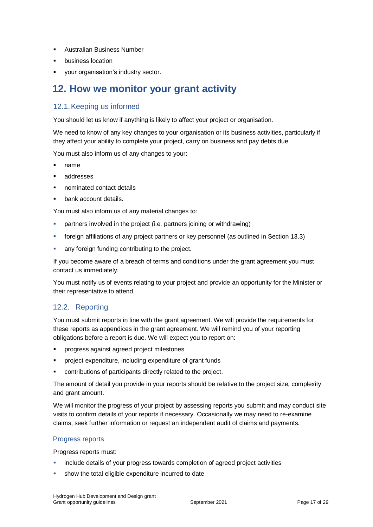- Australian Business Number
- business location
- your organisation's industry sector.

### **12. How we monitor your grant activity**

### 12.1.Keeping us informed

You should let us know if anything is likely to affect your project or organisation.

We need to know of any key changes to your organisation or its business activities, particularly if they affect your ability to complete your project, carry on business and pay debts due.

You must also inform us of any changes to your:

- name
- addresses
- nominated contact details
- bank account details.

You must also inform us of any material changes to:

- partners involved in the project (i.e. partners joining or withdrawing)
- foreign affiliations of any project partners or key personnel (as outlined in Section 13.3)
- any foreign funding contributing to the project.

If you become aware of a breach of terms and conditions under the grant agreement you must contact us immediately.

You must notify us of events relating to your project and provide an opportunity for the Minister or their representative to attend.

### 12.2. Reporting

You must submit reports in line with the [grant agreement.](file://///prod.protected.ind/User/user03/LLau2/insert%20link%20here) We will provide the requirements for these reports as appendices in the grant agreement. We will remind you of your reporting obligations before a report is due. We will expect you to report on:

- progress against agreed project milestones
- project expenditure, including expenditure of grant funds
- contributions of participants directly related to the project.

The amount of detail you provide in your reports should be relative to the project size, complexity and grant amount.

We will monitor the progress of your project by assessing reports you submit and may conduct site visits to confirm details of your reports if necessary. Occasionally we may need to re-examine claims, seek further information or request an independent audit of claims and payments.

#### Progress reports

Progress reports must:

- include details of your progress towards completion of agreed project activities
- show the total eligible expenditure incurred to date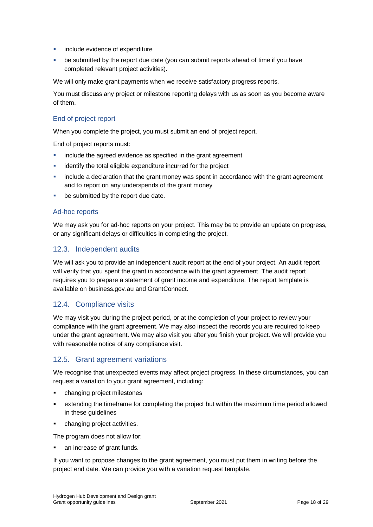- include evidence of expenditure
- be submitted by the report due date (you can submit reports ahead of time if you have completed relevant project activities).

We will only make grant payments when we receive satisfactory progress reports.

You must discuss any project or milestone reporting delays with us as soon as you become aware of them.

### End of project report

When you complete the project, you must submit an end of project report.

End of project reports must:

- **EXEDENT** include the agreed evidence as specified in the grant agreement
- **EXEDENT** identify the total eligible expenditure incurred for the project
- include a declaration that the grant money was spent in accordance with the grant agreement and to report on any underspends of the grant money
- be submitted by the report due date.

#### Ad-hoc reports

We may ask you for ad-hoc reports on your project. This may be to provide an update on progress, or any significant delays or difficulties in completing the project.

### 12.3. Independent audits

We will ask you to provide an independent audit report at the end of your project. An audit report will verify that you spent the grant in accordance with the grant agreement. The audit report requires you to prepare a statement of grant income and expenditure. The report template is available on business.gov.au and GrantConnect.

### 12.4. Compliance visits

We may visit you during the project period, or at the completion of your project to review your compliance with the grant agreement. We may also inspect the records you are required to keep under the grant agreement. We may also visit you after you finish your project. We will provide you with reasonable notice of any compliance visit.

### 12.5. Grant agreement variations

We recognise that unexpected events may affect project progress. In these circumstances, you can request a variation to your grant agreement, including:

- changing project milestones
- extending the timeframe for completing the project but within the maximum time period allowed in these guidelines
- changing project activities.

The program does not allow for:

an increase of grant funds.

If you want to propose changes to the grant agreement, you must put them in writing before the project end date. We can provide you with a variation request template.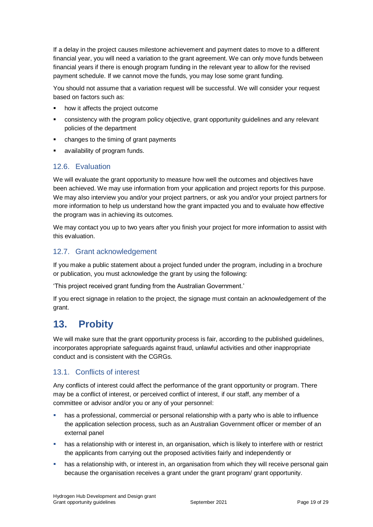If a delay in the project causes milestone achievement and payment dates to move to a different financial year, you will need a variation to the grant agreement. We can only move funds between financial years if there is enough program funding in the relevant year to allow for the revised payment schedule. If we cannot move the funds, you may lose some grant funding.

You should not assume that a variation request will be successful. We will consider your request based on factors such as:

- how it affects the project outcome
- consistency with the program policy objective, grant opportunity guidelines and any relevant policies of the department
- changes to the timing of grant payments
- availability of program funds.

### 12.6. Evaluation

We will evaluate the grant opportunity to measure how well the outcomes and objectives have been achieved. We may use information from your application and project reports for this purpose. We may also interview you and/or your project partners, or ask you and/or your project partners for more information to help us understand how the grant impacted you and to evaluate how effective the program was in achieving its outcomes.

We may contact you up to two years after you finish your project for more information to assist with this evaluation.

### 12.7. Grant acknowledgement

If you make a public statement about a project funded under the program, including in a brochure or publication, you must acknowledge the grant by using the following:

'This project received grant funding from the Australian Government.'

If you erect signage in relation to the project, the signage must contain an acknowledgement of the grant.

### **13. Probity**

We will make sure that the grant opportunity process is fair, according to the published guidelines, incorporates appropriate safeguards against fraud, unlawful activities and other inappropriate conduct and is consistent with the CGRGs.

### 13.1. Conflicts of interest

Any conflicts of interest could affect the performance of the grant opportunity or program. There may be a [conflict of interest,](http://www.apsc.gov.au/publications-and-media/current-publications/aps-values-and-code-of-conduct-in-practice/conflict-of-interest) or perceived conflict of interest, if our staff, any member of a committee or advisor and/or you or any of your personnel:

- has a professional, commercial or personal relationship with a party who is able to influence the application selection process, such as an Australian Government officer or member of an external panel
- has a relationship with or interest in, an organisation, which is likely to interfere with or restrict the applicants from carrying out the proposed activities fairly and independently or
- **•** has a relationship with, or interest in, an organisation from which they will receive personal gain because the organisation receives a grant under the grant program/ grant opportunity.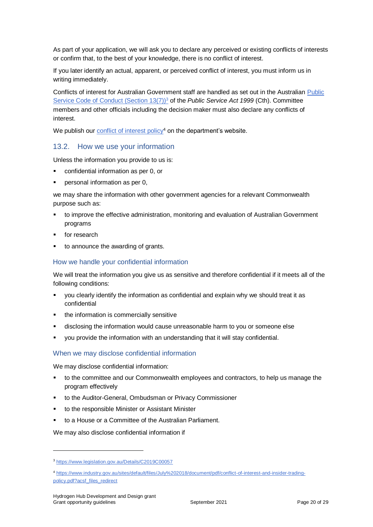As part of your application, we will ask you to declare any perceived or existing conflicts of interests or confirm that, to the best of your knowledge, there is no conflict of interest.

If you later identify an actual, apparent, or perceived conflict of interest, you must inform us in writing immediately.

Conflicts of interest for Australian Government staff are handled as set out in the Australian [Public](https://www.legislation.gov.au/Details/C2019C00057)  [Service Code of Conduct \(Section 13\(7\)\)](https://www.legislation.gov.au/Details/C2019C00057)<sup>3</sup> of the *Public Service Act 1999* (Cth). Committee members and other officials including the decision maker must also declare any conflicts of interest.

We publish our *conflict of interest policy*<sup>4</sup> on the department's website.

### 13.2. How we use your information

Unless the information you provide to us is:

- confidential information as per [0,](#page-19-0) or
- personal information as per [0,](#page-20-0)

we may share the information with other government agencies for a relevant Commonwealth purpose such as:

- to improve the effective administration, monitoring and evaluation of Australian Government programs
- for research
- to announce the awarding of grants.

#### <span id="page-19-0"></span>How we handle your confidential information

We will treat the information you give us as sensitive and therefore confidential if it meets all of the following conditions:

- you clearly identify the information as confidential and explain why we should treat it as confidential
- the information is commercially sensitive
- disclosing the information would cause unreasonable harm to you or someone else
- you provide the information with an understanding that it will stay confidential.

#### When we may disclose confidential information

We may disclose confidential information:

- to the committee and our Commonwealth employees and contractors, to help us manage the program effectively
- to the Auditor-General, Ombudsman or Privacy Commissioner
- to the responsible Minister or Assistant Minister
- to a House or a Committee of the Australian Parliament.

We may also disclose confidential information if

l

<sup>3</sup> https://www.legislation.gov.au/Details/C2019C00057

<sup>4</sup> [https://www.industry.gov.au/sites/default/files/July%202018/document/pdf/conflict-of-interest-and-insider-trading](https://www.industry.gov.au/sites/default/files/July%202018/document/pdf/conflict-of-interest-and-insider-trading-policy.pdf?acsf_files_redirect)[policy.pdf?acsf\\_files\\_redirect](https://www.industry.gov.au/sites/default/files/July%202018/document/pdf/conflict-of-interest-and-insider-trading-policy.pdf?acsf_files_redirect)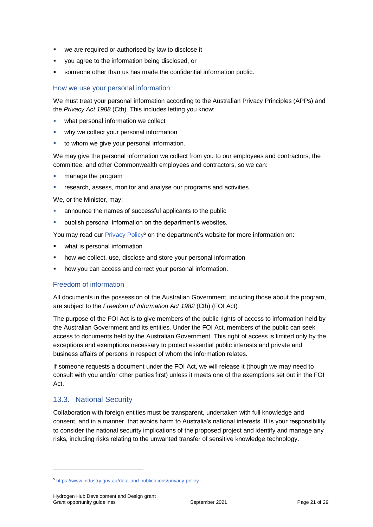- we are required or authorised by law to disclose it
- you agree to the information being disclosed, or
- someone other than us has made the confidential information public.

#### <span id="page-20-0"></span>How we use your personal information

We must treat your personal information according to the Australian Privacy Principles (APPs) and the *Privacy Act 1988* (Cth). This includes letting you know:

- what personal information we collect
- why we collect your personal information
- **to whom we give your personal information.**

We may give the personal information we collect from you to our employees and contractors, the committee, and other Commonwealth employees and contractors, so we can:

- **manage the program**
- **FILT** research, assess, monitor and analyse our programs and activities.

We, or the Minister, may:

- announce the names of successful applicants to the public
- publish personal information on the department's websites.

You may read our [Privacy Policy](https://www.industry.gov.au/data-and-publications/privacy-policy)<sup>5</sup> on the department's website for more information on:

- what is personal information
- how we collect, use, disclose and store your personal information
- how you can access and correct your personal information.

### Freedom of information

All documents in the possession of the Australian Government, including those about the program, are subject to the *Freedom of Information Act 1982* (Cth) (FOI Act)*.*

The purpose of the FOI Act is to give members of the public rights of access to information held by the Australian Government and its entities. Under the FOI Act, members of the public can seek access to documents held by the Australian Government. This right of access is limited only by the exceptions and exemptions necessary to protect essential public interests and private and business affairs of persons in respect of whom the information relates.

If someone requests a document under the FOI Act, we will release it (though we may need to consult with you and/or other parties first) unless it meets one of the exemptions set out in the FOI Act.

### 13.3. National Security

l

Collaboration with foreign entities must be transparent, undertaken with full knowledge and consent, and in a manner, that avoids harm to Australia's national interests. It is your responsibility to consider the national security implications of the proposed project and identify and manage any risks, including risks relating to the unwanted transfer of sensitive knowledge technology.

<sup>5</sup> <https://www.industry.gov.au/data-and-publications/privacy-policy>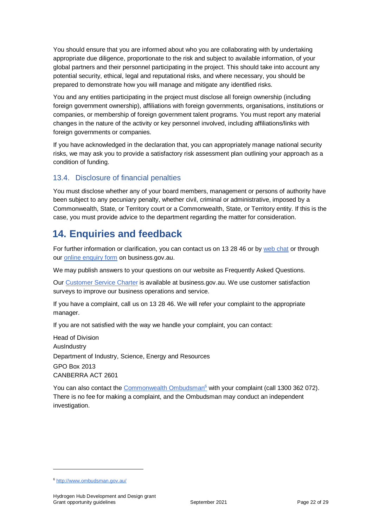You should ensure that you are informed about who you are collaborating with by undertaking appropriate due diligence, proportionate to the risk and subject to available information, of your global partners and their personnel participating in the project. This should take into account any potential security, ethical, legal and reputational risks, and where necessary, you should be prepared to demonstrate how you will manage and mitigate any identified risks.

You and any entities participating in the project must disclose all foreign ownership (including foreign government ownership), affiliations with foreign governments, organisations, institutions or companies, or membership of foreign government talent programs. You must report any material changes in the nature of the activity or key personnel involved, including affiliations/links with foreign governments or companies.

If you have acknowledged in the declaration that, you can appropriately manage national security risks, we may ask you to provide a satisfactory risk assessment plan outlining your approach as a condition of funding.

### 13.4. Disclosure of financial penalties

You must disclose whether any of your board members, management or persons of authority have been subject to any pecuniary penalty, whether civil, criminal or administrative, imposed by a Commonwealth, State, or Territory court or a Commonwealth, State, or Territory entity. If this is the case, you must provide advice to the department regarding the matter for consideration.

### **14. Enquiries and feedback**

For further information or clarification, you can contact us on 13 28 46 or by [web chat](https://www.business.gov.au/contact-us) or through our [online enquiry form](http://www.business.gov.au/contact-us/Pages/default.aspx) on business.gov.au.

We may publish answers to your questions on our website as Frequently Asked Questions.

Our [Customer Service Charter](https://www.business.gov.au/about/customer-service-charter) is available at [business.gov.au.](http://www.business.gov.au/) We use customer satisfaction surveys to improve our business operations and service.

If you have a complaint, call us on 13 28 46. We will refer your complaint to the appropriate manager.

If you are not satisfied with the way we handle your complaint, you can contact:

Head of Division AusIndustry Department of Industry, Science, Energy and Resources GPO Box 2013 CANBERRA ACT 2601

You can also contact the [Commonwealth Ombudsman](http://www.ombudsman.gov.au/)<sup>6</sup> with your complaint (call 1300 362 072). There is no fee for making a complaint, and the Ombudsman may conduct an independent investigation.

l

<sup>6</sup> <http://www.ombudsman.gov.au/>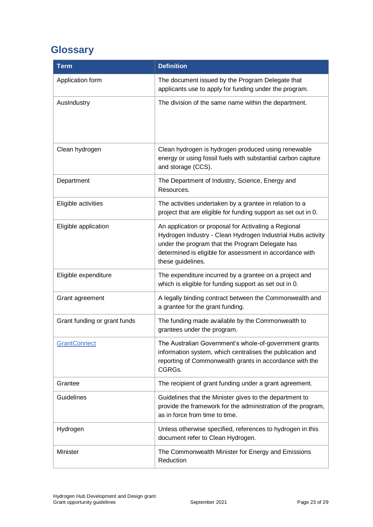## <span id="page-22-0"></span>**Glossary**

| <b>Term</b>                  | <b>Definition</b>                                                                                                                                                                                                                                       |
|------------------------------|---------------------------------------------------------------------------------------------------------------------------------------------------------------------------------------------------------------------------------------------------------|
| Application form             | The document issued by the Program Delegate that<br>applicants use to apply for funding under the program.                                                                                                                                              |
| AusIndustry                  | The division of the same name within the department.                                                                                                                                                                                                    |
| Clean hydrogen               | Clean hydrogen is hydrogen produced using renewable<br>energy or using fossil fuels with substantial carbon capture<br>and storage (CCS).                                                                                                               |
| Department                   | The Department of Industry, Science, Energy and<br>Resources.                                                                                                                                                                                           |
| Eligible activities          | The activities undertaken by a grantee in relation to a<br>project that are eligible for funding support as set out in 0.                                                                                                                               |
| Eligible application         | An application or proposal for Activating a Regional<br>Hydrogen Industry - Clean Hydrogen Industrial Hubs activity<br>under the program that the Program Delegate has<br>determined is eligible for assessment in accordance with<br>these guidelines. |
| Eligible expenditure         | The expenditure incurred by a grantee on a project and<br>which is eligible for funding support as set out in 0.                                                                                                                                        |
| Grant agreement              | A legally binding contract between the Commonwealth and<br>a grantee for the grant funding.                                                                                                                                                             |
| Grant funding or grant funds | The funding made available by the Commonwealth to<br>grantees under the program.                                                                                                                                                                        |
| <b>GrantConnect</b>          | The Australian Government's whole-of-government grants<br>information system, which centralises the publication and<br>reporting of Commonwealth grants in accordance with the<br>CGRGs.                                                                |
| Grantee                      | The recipient of grant funding under a grant agreement.                                                                                                                                                                                                 |
| Guidelines                   | Guidelines that the Minister gives to the department to<br>provide the framework for the administration of the program,<br>as in force from time to time.                                                                                               |
| Hydrogen                     | Unless otherwise specified, references to hydrogen in this<br>document refer to Clean Hydrogen.                                                                                                                                                         |
| Minister                     | The Commonwealth Minister for Energy and Emissions<br>Reduction                                                                                                                                                                                         |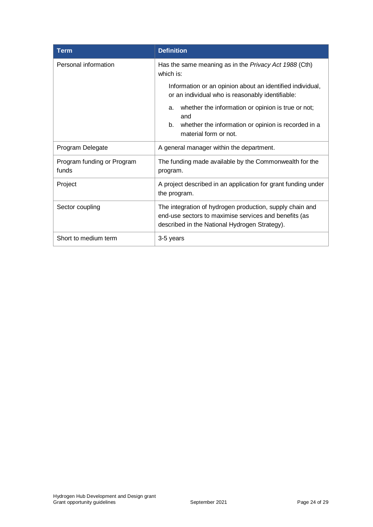| <b>Term</b>                         | <b>Definition</b>                                                                                                                                                  |  |  |  |
|-------------------------------------|--------------------------------------------------------------------------------------------------------------------------------------------------------------------|--|--|--|
| Personal information                | Has the same meaning as in the <i>Privacy Act 1988</i> (Cth)<br>which is:                                                                                          |  |  |  |
|                                     | Information or an opinion about an identified individual,<br>or an individual who is reasonably identifiable:                                                      |  |  |  |
|                                     | whether the information or opinion is true or not;<br>a.<br>and                                                                                                    |  |  |  |
|                                     | whether the information or opinion is recorded in a<br>b.<br>material form or not.                                                                                 |  |  |  |
| Program Delegate                    | A general manager within the department.                                                                                                                           |  |  |  |
| Program funding or Program<br>funds | The funding made available by the Commonwealth for the<br>program.                                                                                                 |  |  |  |
| Project                             | A project described in an application for grant funding under<br>the program.                                                                                      |  |  |  |
| Sector coupling                     | The integration of hydrogen production, supply chain and<br>end-use sectors to maximise services and benefits (as<br>described in the National Hydrogen Strategy). |  |  |  |
| Short to medium term                | 3-5 years                                                                                                                                                          |  |  |  |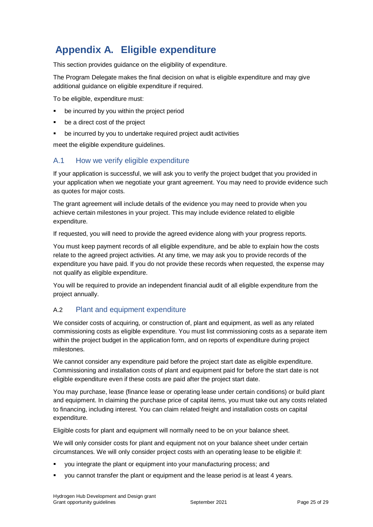### **Appendix A. Eligible expenditure**

This section provides guidance on the eligibility of expenditure.

The Program Delegate makes the final decision on what is eligible expenditure and may give additional guidance on eligible expenditure if required.

To be eligible, expenditure must:

- be incurred by you within the project period
- be a direct cost of the project
- be incurred by you to undertake required project audit activities

meet the eligible expenditure guidelines.

### A.1 How we verify eligible expenditure

If your application is successful, we will ask you to verify the project budget that you provided in your application when we negotiate your grant agreement. You may need to provide evidence such as quotes for major costs.

The grant agreement will include details of the evidence you may need to provide when you achieve certain milestones in your project. This may include evidence related to eligible expenditure.

If requested, you will need to provide the agreed evidence along with your progress reports.

You must keep payment records of all eligible expenditure, and be able to explain how the costs relate to the agreed project activities. At any time, we may ask you to provide records of the expenditure you have paid. If you do not provide these records when requested, the expense may not qualify as eligible expenditure.

You will be required to provide an independent financial audit of all eligible expenditure from the project annually.

### A.2 Plant and equipment expenditure

We consider costs of acquiring, or construction of, plant and equipment, as well as any related commissioning costs as eligible expenditure. You must list commissioning costs as a separate item within the project budget in the application form, and on reports of expenditure during project milestones.

We cannot consider any expenditure paid before the project start date as eligible expenditure. Commissioning and installation costs of plant and equipment paid for before the start date is not eligible expenditure even if these costs are paid after the project start date.

You may purchase, lease (finance lease or operating lease under certain conditions) or build plant and equipment. In claiming the purchase price of capital items, you must take out any costs related to financing, including interest. You can claim related freight and installation costs on capital expenditure.

Eligible costs for plant and equipment will normally need to be on your balance sheet.

We will only consider costs for plant and equipment not on your balance sheet under certain circumstances. We will only consider project costs with an operating lease to be eligible if:

- you integrate the plant or equipment into your manufacturing process; and
- you cannot transfer the plant or equipment and the lease period is at least 4 years.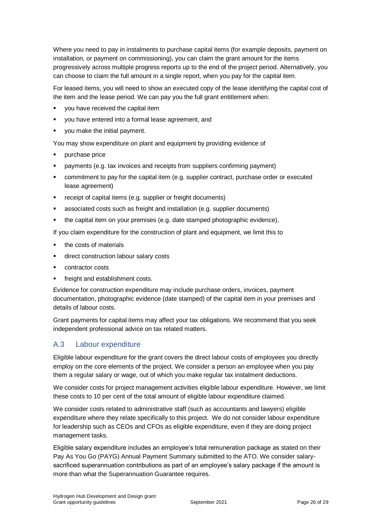Where you need to pay in instalments to purchase capital items (for example deposits, payment on installation, or payment on commissioning), you can claim the grant amount for the items progressively across multiple progress reports up to the end of the project period. Alternatively, you can choose to claim the full amount in a single report, when you pay for the capital item.

For leased items, you will need to show an executed copy of the lease identifying the capital cost of the item and the lease period. We can pay you the full grant entitlement when:

- you have received the capital item
- you have entered into a formal lease agreement, and
- you make the initial payment.

You may show expenditure on plant and equipment by providing evidence of

- purchase price
- payments (e.g. tax invoices and receipts from suppliers confirming payment)
- commitment to pay for the capital item (e.g. supplier contract, purchase order or executed lease agreement)
- receipt of capital items (e.g. supplier or freight documents)
- associated costs such as freight and installation (e.g. supplier documents)
- the capital item on your premises (e.g. date stamped photographic evidence).

If you claim expenditure for the construction of plant and equipment, we limit this to

- the costs of materials
- direct construction labour salary costs
- contractor costs
- freight and establishment costs.

Evidence for construction expenditure may include purchase orders, invoices, payment documentation, photographic evidence (date stamped) of the capital item in your premises and details of labour costs.

Grant payments for capital items may affect your tax obligations. We recommend that you seek independent professional advice on tax related matters.

### A.3 Labour expenditure

Eligible labour expenditure for the grant covers the direct labour costs of employees you directly employ on the core elements of the project. We consider a person an employee when you pay them a regular salary or wage, out of which you make regular tax instalment deductions.

We consider costs for project management activities eligible labour expenditure. However, we limit these costs to 10 per cent of the total amount of eligible labour expenditure claimed.

We consider costs related to administrative staff (such as accountants and lawyers) eligible expenditure where they relate specifically to this project. We do not consider labour expenditure for leadership such as CEOs and CFOs as eligible expenditure, even if they are doing project management tasks.

Eligible salary expenditure includes an employee's total remuneration package as stated on their Pay As You Go (PAYG) Annual Payment Summary submitted to the ATO. We consider salarysacrificed superannuation contributions as part of an employee's salary package if the amount is more than what the Superannuation Guarantee requires.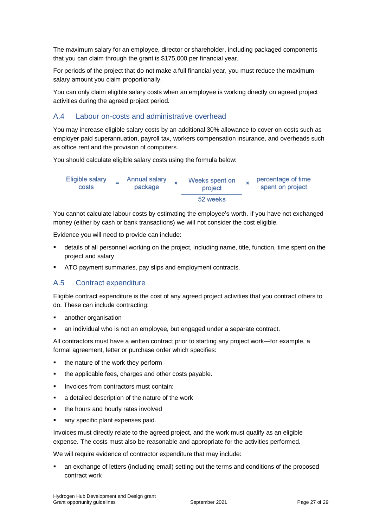The maximum salary for an employee, director or shareholder, including packaged components that you can claim through the grant is \$175,000 per financial year.

For periods of the project that do not make a full financial year, you must reduce the maximum salary amount you claim proportionally.

You can only claim eligible salary costs when an employee is working directly on agreed project activities during the agreed project period.

### A.4 Labour on-costs and administrative overhead

You may increase eligible salary costs by an additional 30% allowance to cover on-costs such as employer paid superannuation, payroll tax, workers compensation insurance, and overheads such as office rent and the provision of computers.

You should calculate eligible salary costs using the formula below:

| Eligible salary<br>costs | Annual salary<br>package | Weeks spent on<br>project | percentage of time<br>spent on project |
|--------------------------|--------------------------|---------------------------|----------------------------------------|
|                          |                          | 52 weeks                  |                                        |

You cannot calculate labour costs by estimating the employee's worth. If you have not exchanged money (either by cash or bank transactions) we will not consider the cost eligible.

Evidence you will need to provide can include:

- details of all personnel working on the project, including name, title, function, time spent on the project and salary
- ATO payment summaries, pay slips and employment contracts.

### A.5 Contract expenditure

Eligible contract expenditure is the cost of any agreed project activities that you contract others to do. These can include contracting:

- another organisation
- an individual who is not an employee, but engaged under a separate contract.

All contractors must have a written contract prior to starting any project work—for example, a formal agreement, letter or purchase order which specifies:

- the nature of the work they perform
- the applicable fees, charges and other costs payable.
- Invoices from contractors must contain:
- a detailed description of the nature of the work
- the hours and hourly rates involved
- any specific plant expenses paid.

Invoices must directly relate to the agreed project, and the work must qualify as an eligible expense. The costs must also be reasonable and appropriate for the activities performed.

We will require evidence of contractor expenditure that may include:

 an exchange of letters (including email) setting out the terms and conditions of the proposed contract work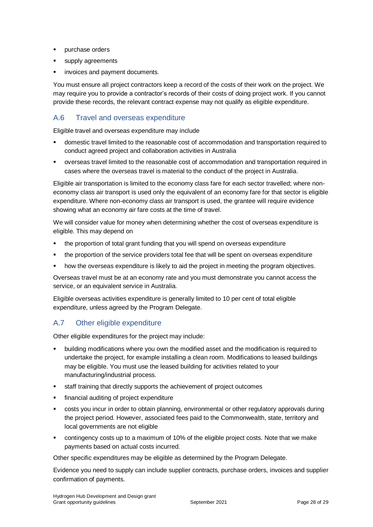- purchase orders
- supply agreements
- invoices and payment documents.

You must ensure all project contractors keep a record of the costs of their work on the project. We may require you to provide a contractor's records of their costs of doing project work. If you cannot provide these records, the relevant contract expense may not qualify as eligible expenditure.

### A.6 Travel and overseas expenditure

Eligible travel and overseas expenditure may include

- domestic travel limited to the reasonable cost of accommodation and transportation required to conduct agreed project and collaboration activities in Australia
- overseas travel limited to the reasonable cost of accommodation and transportation required in cases where the overseas travel is material to the conduct of the project in Australia.

Eligible air transportation is limited to the economy class fare for each sector travelled; where noneconomy class air transport is used only the equivalent of an economy fare for that sector is eligible expenditure. Where non-economy class air transport is used, the grantee will require evidence showing what an economy air fare costs at the time of travel.

We will consider value for money when determining whether the cost of overseas expenditure is eligible. This may depend on

- the proportion of total grant funding that you will spend on overseas expenditure
- the proportion of the service providers total fee that will be spent on overseas expenditure
- how the overseas expenditure is likely to aid the project in meeting the program objectives.

Overseas travel must be at an economy rate and you must demonstrate you cannot access the service, or an equivalent service in Australia.

Eligible overseas activities expenditure is generally limited to 10 per cent of total eligible expenditure, unless agreed by the Program Delegate.

### A.7 Other eligible expenditure

Other eligible expenditures for the project may include:

- building modifications where you own the modified asset and the modification is required to undertake the project, for example installing a clean room. Modifications to leased buildings may be eligible. You must use the leased building for activities related to your manufacturing/industrial process.
- staff training that directly supports the achievement of project outcomes
- financial auditing of project expenditure
- costs you incur in order to obtain planning, environmental or other regulatory approvals during the project period. However, associated fees paid to the Commonwealth, state, territory and local governments are not eligible
- contingency costs up to a maximum of 10% of the eligible project costs. Note that we make payments based on actual costs incurred.

Other specific expenditures may be eligible as determined by the Program Delegate.

Evidence you need to supply can include supplier contracts, purchase orders, invoices and supplier confirmation of payments.